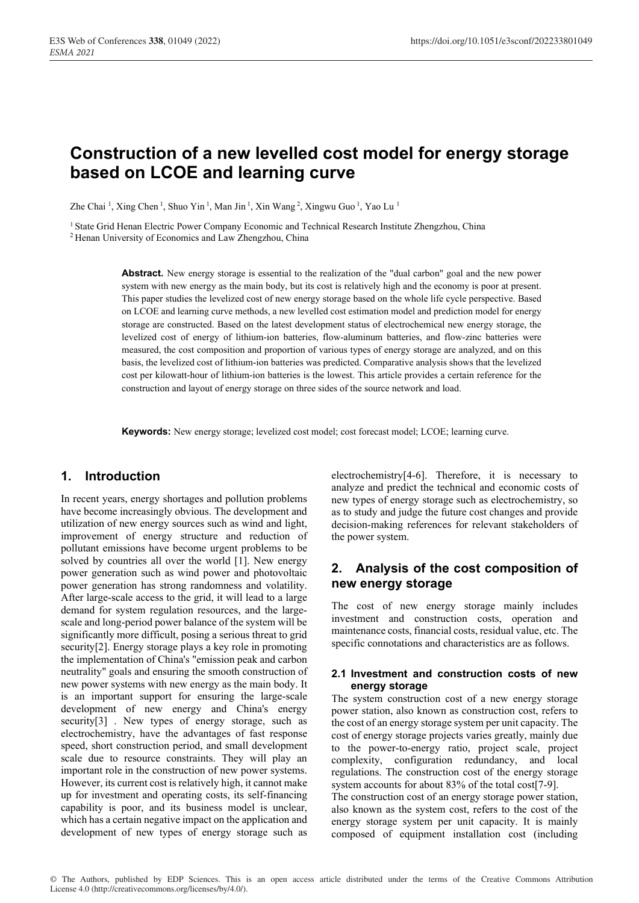# **Construction of a new levelled cost model for energy storage based on LCOE and learning curve**

Zhe Chai 1, Xing Chen 1, Shuo Yin 1, Man Jin 1, Xin Wang 2, Xingwu Guo 1, Yao Lu 1

<sup>1</sup> State Grid Henan Electric Power Company Economic and Technical Research Institute Zhengzhou, China <sup>2</sup> Henan University of Economics and Law Zhengzhou, China

**Abstract.** New energy storage is essential to the realization of the "dual carbon" goal and the new power system with new energy as the main body, but its cost is relatively high and the economy is poor at present. This paper studies the levelized cost of new energy storage based on the whole life cycle perspective. Based on LCOE and learning curve methods, a new levelled cost estimation model and prediction model for energy storage are constructed. Based on the latest development status of electrochemical new energy storage, the levelized cost of energy of lithium-ion batteries, flow-aluminum batteries, and flow-zinc batteries were measured, the cost composition and proportion of various types of energy storage are analyzed, and on this basis, the levelized cost of lithium-ion batteries was predicted. Comparative analysis shows that the levelized cost per kilowatt-hour of lithium-ion batteries is the lowest. This article provides a certain reference for the construction and layout of energy storage on three sides of the source network and load.

**Keywords:** New energy storage; levelized cost model; cost forecast model; LCOE; learning curve.

## **1. Introduction**

In recent years, energy shortages and pollution problems have become increasingly obvious. The development and utilization of new energy sources such as wind and light, improvement of energy structure and reduction of pollutant emissions have become urgent problems to be solved by countries all over the world [1]. New energy power generation such as wind power and photovoltaic power generation has strong randomness and volatility. After large-scale access to the grid, it will lead to a large demand for system regulation resources, and the largescale and long-period power balance of the system will be significantly more difficult, posing a serious threat to grid security[2]. Energy storage plays a key role in promoting the implementation of China's "emission peak and carbon neutrality" goals and ensuring the smooth construction of new power systems with new energy as the main body. It is an important support for ensuring the large-scale development of new energy and China's energy security[3] . New types of energy storage, such as electrochemistry, have the advantages of fast response speed, short construction period, and small development scale due to resource constraints. They will play an important role in the construction of new power systems. However, its current cost is relatively high, it cannot make up for investment and operating costs, its self-financing capability is poor, and its business model is unclear, which has a certain negative impact on the application and development of new types of energy storage such as electrochemistry[4-6]. Therefore, it is necessary to analyze and predict the technical and economic costs of new types of energy storage such as electrochemistry, so as to study and judge the future cost changes and provide decision-making references for relevant stakeholders of the power system.

## **2. Analysis of the cost composition of new energy storage**

The cost of new energy storage mainly includes investment and construction costs, operation and maintenance costs, financial costs, residual value, etc. The specific connotations and characteristics are as follows.

### **2.1 Investment and construction costs of new energy storage**

The system construction cost of a new energy storage power station, also known as construction cost, refers to the cost of an energy storage system per unit capacity. The cost of energy storage projects varies greatly, mainly due to the power-to-energy ratio, project scale, project complexity, configuration redundancy, and local regulations. The construction cost of the energy storage system accounts for about 83% of the total cost[7-9].

The construction cost of an energy storage power station, also known as the system cost, refers to the cost of the energy storage system per unit capacity. It is mainly composed of equipment installation cost (including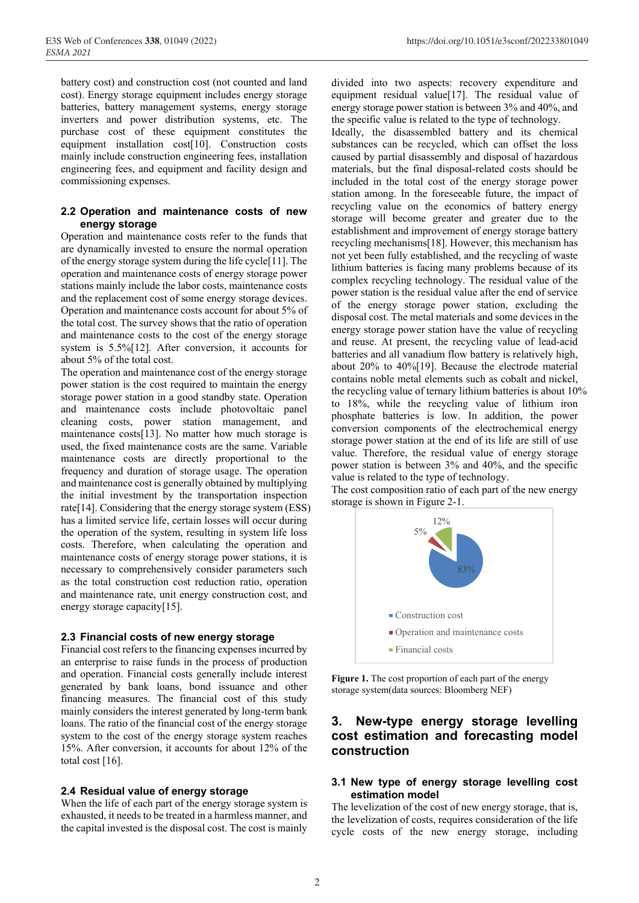battery cost) and construction cost (not counted and land cost). Energy storage equipment includes energy storage batteries, battery management systems, energy storage inverters and power distribution systems, etc. The purchase cost of these equipment constitutes the equipment installation cost[10]. Construction costs mainly include construction engineering fees, installation engineering fees, and equipment and facility design and commissioning expenses.

#### **2.2 Operation and maintenance costs of new energy storage**

Operation and maintenance costs refer to the funds that are dynamically invested to ensure the normal operation of the energy storage system during the life cycle[11]. The operation and maintenance costs of energy storage power stations mainly include the labor costs, maintenance costs and the replacement cost of some energy storage devices. Operation and maintenance costs account for about 5% of the total cost. The survey shows that the ratio of operation and maintenance costs to the cost of the energy storage system is 5.5%[12]. After conversion, it accounts for about 5% of the total cost.

The operation and maintenance cost of the energy storage power station is the cost required to maintain the energy storage power station in a good standby state. Operation and maintenance costs include photovoltaic panel cleaning costs, power station management, and maintenance costs[13]. No matter how much storage is used, the fixed maintenance costs are the same. Variable maintenance costs are directly proportional to the frequency and duration of storage usage. The operation and maintenance cost is generally obtained by multiplying the initial investment by the transportation inspection rate[14]. Considering that the energy storage system (ESS) has a limited service life, certain losses will occur during the operation of the system, resulting in system life loss costs. Therefore, when calculating the operation and maintenance costs of energy storage power stations, it is necessary to comprehensively consider parameters such as the total construction cost reduction ratio, operation and maintenance rate, unit energy construction cost, and energy storage capacity[15].

### **2.3 Financial costs of new energy storage**

Financial cost refers to the financing expenses incurred by an enterprise to raise funds in the process of production and operation. Financial costs generally include interest generated by bank loans, bond issuance and other financing measures. The financial cost of this study mainly considers the interest generated by long-term bank loans. The ratio of the financial cost of the energy storage system to the cost of the energy storage system reaches 15%. After conversion, it accounts for about 12% of the total cost [16].

### **2.4 Residual value of energy storage**

When the life of each part of the energy storage system is exhausted, it needs to be treated in a harmless manner, and the capital invested is the disposal cost. The cost is mainly

divided into two aspects: recovery expenditure and equipment residual value[17]. The residual value of energy storage power station is between 3% and 40%, and the specific value is related to the type of technology.

Ideally, the disassembled battery and its chemical substances can be recycled, which can offset the loss caused by partial disassembly and disposal of hazardous materials, but the final disposal-related costs should be included in the total cost of the energy storage power station among. In the foreseeable future, the impact of recycling value on the economics of battery energy storage will become greater and greater due to the establishment and improvement of energy storage battery recycling mechanisms[18]. However, this mechanism has not yet been fully established, and the recycling of waste lithium batteries is facing many problems because of its complex recycling technology. The residual value of the power station is the residual value after the end of service of the energy storage power station, excluding the disposal cost. The metal materials and some devices in the energy storage power station have the value of recycling and reuse. At present, the recycling value of lead-acid batteries and all vanadium flow battery is relatively high, about 20% to 40%[19]. Because the electrode material contains noble metal elements such as cobalt and nickel, the recycling value of ternary lithium batteries is about 10% to 18%, while the recycling value of lithium iron phosphate batteries is low. In addition, the power conversion components of the electrochemical energy storage power station at the end of its life are still of use value. Therefore, the residual value of energy storage power station is between 3% and 40%, and the specific value is related to the type of technology.

The cost composition ratio of each part of the new energy storage is shown in Figure 2-1.



Figure 1. The cost proportion of each part of the energy storage system(data sources: Bloomberg NEF)

## **3. New-type energy storage levelling cost estimation and forecasting model construction**

### **3.1 New type of energy storage levelling cost estimation model**

The levelization of the cost of new energy storage, that is, the levelization of costs, requires consideration of the life cycle costs of the new energy storage, including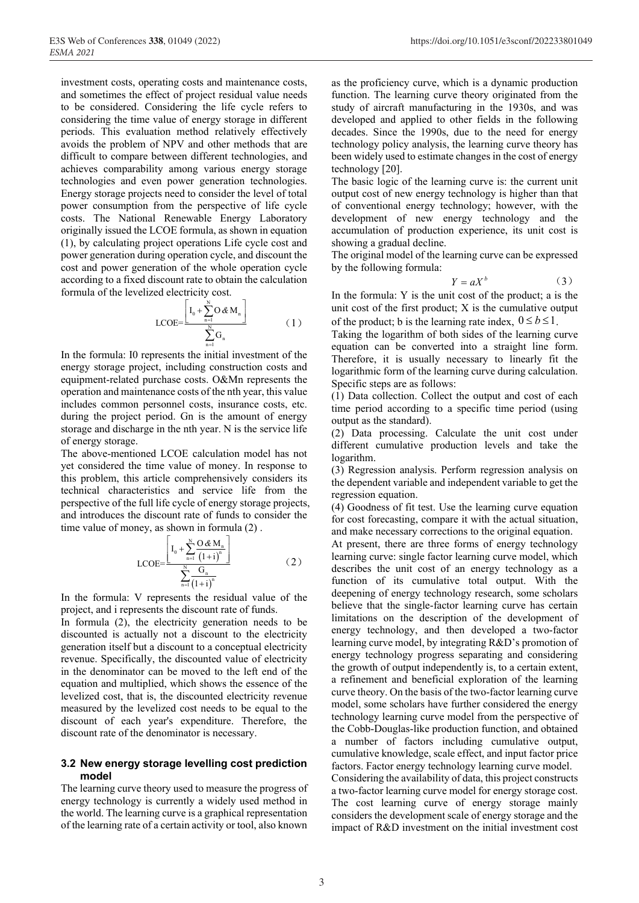investment costs, operating costs and maintenance costs, and sometimes the effect of project residual value needs to be considered. Considering the life cycle refers to considering the time value of energy storage in different periods. This evaluation method relatively effectively avoids the problem of NPV and other methods that are difficult to compare between different technologies, and achieves comparability among various energy storage technologies and even power generation technologies. Energy storage projects need to consider the level of total power consumption from the perspective of life cycle costs. The National Renewable Energy Laboratory originally issued the LCOE formula, as shown in equation (1), by calculating project operations Life cycle cost and power generation during operation cycle, and discount the cost and power generation of the whole operation cycle according to a fixed discount rate to obtain the calculation formula of the levelized electricity cost.

$$
LCOE = \frac{\left[ I_0 + \sum_{n=1}^{N} O \& M_n \right]}{\sum_{n=1}^{N} G_n} \tag{1}
$$

In the formula: I0 represents the initial investment of the energy storage project, including construction costs and equipment-related purchase costs. O&Mn represents the operation and maintenance costs of the nth year, this value includes common personnel costs, insurance costs, etc. during the project period. Gn is the amount of energy storage and discharge in the nth year. N is the service life of energy storage.

The above-mentioned LCOE calculation model has not yet considered the time value of money. In response to this problem, this article comprehensively considers its technical characteristics and service life from the perspective of the full life cycle of energy storage projects, and introduces the discount rate of funds to consider the time value of money, as shown in formula (2) .

$$
LCOE = \frac{\left[ I_0 + \sum_{n=1}^{N} \frac{O \& M_n}{(1+i)^n} \right]}{\sum_{n=1}^{N} \frac{G_n}{(1+i)^n}}
$$
\n(2)

In the formula: V represents the residual value of the project, and i represents the discount rate of funds.

In formula (2), the electricity generation needs to be discounted is actually not a discount to the electricity generation itself but a discount to a conceptual electricity revenue. Specifically, the discounted value of electricity in the denominator can be moved to the left end of the equation and multiplied, which shows the essence of the levelized cost, that is, the discounted electricity revenue measured by the levelized cost needs to be equal to the discount of each year's expenditure. Therefore, the discount rate of the denominator is necessary.

#### **3.2 New energy storage levelling cost prediction model**

The learning curve theory used to measure the progress of energy technology is currently a widely used method in the world. The learning curve is a graphical representation of the learning rate of a certain activity or tool, also known

as the proficiency curve, which is a dynamic production function. The learning curve theory originated from the study of aircraft manufacturing in the 1930s, and was developed and applied to other fields in the following decades. Since the 1990s, due to the need for energy technology policy analysis, the learning curve theory has been widely used to estimate changes in the cost of energy technology [20].

The basic logic of the learning curve is: the current unit output cost of new energy technology is higher than that of conventional energy technology; however, with the development of new energy technology and the accumulation of production experience, its unit cost is showing a gradual decline.

The original model of the learning curve can be expressed by the following formula:

$$
Y = aX^b \tag{3}
$$

In the formula: Y is the unit cost of the product; a is the unit cost of the first product; X is the cumulative output of the product; b is the learning rate index,  $0 \le b \le 1$ .

Taking the logarithm of both sides of the learning curve equation can be converted into a straight line form. Therefore, it is usually necessary to linearly fit the logarithmic form of the learning curve during calculation. Specific steps are as follows:

(1) Data collection. Collect the output and cost of each time period according to a specific time period (using output as the standard).

(2) Data processing. Calculate the unit cost under different cumulative production levels and take the logarithm.

(3) Regression analysis. Perform regression analysis on the dependent variable and independent variable to get the regression equation.

(4) Goodness of fit test. Use the learning curve equation for cost forecasting, compare it with the actual situation, and make necessary corrections to the original equation.

At present, there are three forms of energy technology learning curve: single factor learning curve model, which describes the unit cost of an energy technology as a function of its cumulative total output. With the deepening of energy technology research, some scholars believe that the single-factor learning curve has certain limitations on the description of the development of energy technology, and then developed a two-factor learning curve model, by integrating R&D's promotion of energy technology progress separating and considering the growth of output independently is, to a certain extent, a refinement and beneficial exploration of the learning curve theory. On the basis of the two-factor learning curve model, some scholars have further considered the energy technology learning curve model from the perspective of the Cobb-Douglas-like production function, and obtained a number of factors including cumulative output, cumulative knowledge, scale effect, and input factor price factors. Factor energy technology learning curve model. Considering the availability of data, this project constructs a two-factor learning curve model for energy storage cost. The cost learning curve of energy storage mainly

considers the development scale of energy storage and the impact of R&D investment on the initial investment cost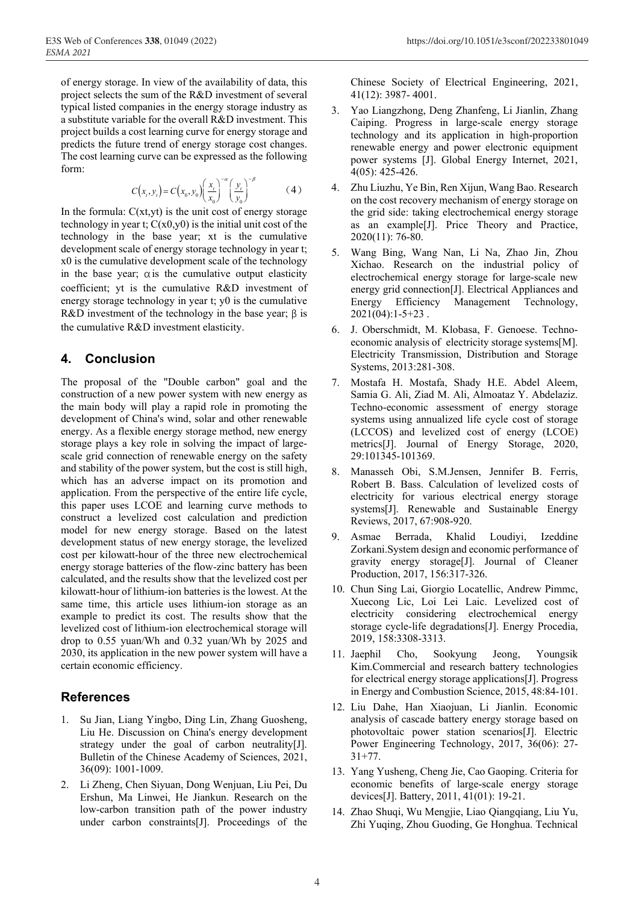of energy storage. In view of the availability of data, this project selects the sum of the R&D investment of several typical listed companies in the energy storage industry as a substitute variable for the overall R&D investment. This project builds a cost learning curve for energy storage and predicts the future trend of energy storage cost changes. The cost learning curve can be expressed as the following form:

$$
C(x_{i}, y_{i}) = C(x_{0}, y_{0}) \left(\frac{x_{i}}{x_{0}}\right)^{-\alpha} \left(\frac{y_{i}}{y_{0}}\right)^{-\beta}
$$
 (4)

In the formula:  $C(x, y)$  is the unit cost of energy storage technology in year t;  $C(x0,y0)$  is the initial unit cost of the technology in the base year; xt is the cumulative development scale of energy storage technology in year t; x0 is the cumulative development scale of the technology in the base year;  $\alpha$  is the cumulative output elasticity coefficient; yt is the cumulative R&D investment of energy storage technology in year t; y0 is the cumulative R&D investment of the technology in the base year;  $\beta$  is the cumulative R&D investment elasticity.

## **4. Conclusion**

The proposal of the "Double carbon" goal and the construction of a new power system with new energy as the main body will play a rapid role in promoting the development of China's wind, solar and other renewable energy. As a flexible energy storage method, new energy storage plays a key role in solving the impact of largescale grid connection of renewable energy on the safety and stability of the power system, but the cost is still high, which has an adverse impact on its promotion and application. From the perspective of the entire life cycle, this paper uses LCOE and learning curve methods to construct a levelized cost calculation and prediction model for new energy storage. Based on the latest development status of new energy storage, the levelized cost per kilowatt-hour of the three new electrochemical energy storage batteries of the flow-zinc battery has been calculated, and the results show that the levelized cost per kilowatt-hour of lithium-ion batteries is the lowest. At the same time, this article uses lithium-ion storage as an example to predict its cost. The results show that the levelized cost of lithium-ion electrochemical storage will drop to 0.55 yuan/Wh and 0.32 yuan/Wh by 2025 and 2030, its application in the new power system will have a certain economic efficiency.

## **References**

- 1. Su Jian, Liang Yingbo, Ding Lin, Zhang Guosheng, Liu He. Discussion on China's energy development strategy under the goal of carbon neutrality[J]. Bulletin of the Chinese Academy of Sciences, 2021, 36(09): 1001-1009.
- 2. Li Zheng, Chen Siyuan, Dong Wenjuan, Liu Pei, Du Ershun, Ma Linwei, He Jiankun. Research on the low-carbon transition path of the power industry under carbon constraints[J]. Proceedings of the

Chinese Society of Electrical Engineering, 2021, 41(12): 3987- 4001.

- 3. Yao Liangzhong, Deng Zhanfeng, Li Jianlin, Zhang Caiping. Progress in large-scale energy storage technology and its application in high-proportion renewable energy and power electronic equipment power systems [J]. Global Energy Internet, 2021, 4(05): 425-426.
- 4. Zhu Liuzhu, Ye Bin, Ren Xijun, Wang Bao. Research on the cost recovery mechanism of energy storage on the grid side: taking electrochemical energy storage as an example[J]. Price Theory and Practice, 2020(11): 76-80.
- 5. Wang Bing, Wang Nan, Li Na, Zhao Jin, Zhou Xichao. Research on the industrial policy of electrochemical energy storage for large-scale new energy grid connection[J]. Electrical Appliances and Energy Efficiency Management Technology,  $2021(04):1-5+23$ .
- 6. J. Oberschmidt, M. Klobasa, F. Genoese. Technoeconomic analysis of electricity storage systems[M]. Electricity Transmission, Distribution and Storage Systems, 2013:281-308.
- 7. Mostafa H. Mostafa, Shady H.E. Abdel Aleem, Samia G. Ali, Ziad M. Ali, Almoataz Y. Abdelaziz. Techno-economic assessment of energy storage systems using annualized life cycle cost of storage (LCCOS) and levelized cost of energy (LCOE) metrics[J]. Journal of Energy Storage, 2020, 29:101345-101369.
- 8. Manasseh Obi, S.M.Jensen, Jennifer B. Ferris, Robert B. Bass. Calculation of levelized costs of electricity for various electrical energy storage systems[J]. Renewable and Sustainable Energy Reviews, 2017, 67:908-920.
- 9. Asmae Berrada, Khalid Loudiyi, Izeddine Zorkani.System design and economic performance of gravity energy storage[J]. Journal of Cleaner Production, 2017, 156:317-326.
- 10. Chun Sing Lai, Giorgio Locatellic, Andrew Pimmc, Xuecong Lic, Loi Lei Laic. Levelized cost of electricity considering electrochemical energy storage cycle-life degradations[J]. Energy Procedia, 2019, 158:3308-3313.
- 11. Jaephil Cho, Sookyung Jeong, Youngsik Kim.Commercial and research battery technologies for electrical energy storage applications[J]. Progress in Energy and Combustion Science, 2015, 48:84-101.
- 12. Liu Dahe, Han Xiaojuan, Li Jianlin. Economic analysis of cascade battery energy storage based on photovoltaic power station scenarios[J]. Electric Power Engineering Technology, 2017, 36(06): 27- 31+77.
- 13. Yang Yusheng, Cheng Jie, Cao Gaoping. Criteria for economic benefits of large-scale energy storage devices[J]. Battery, 2011, 41(01): 19-21.
- 14. Zhao Shuqi, Wu Mengjie, Liao Qiangqiang, Liu Yu, Zhi Yuqing, Zhou Guoding, Ge Honghua. Technical